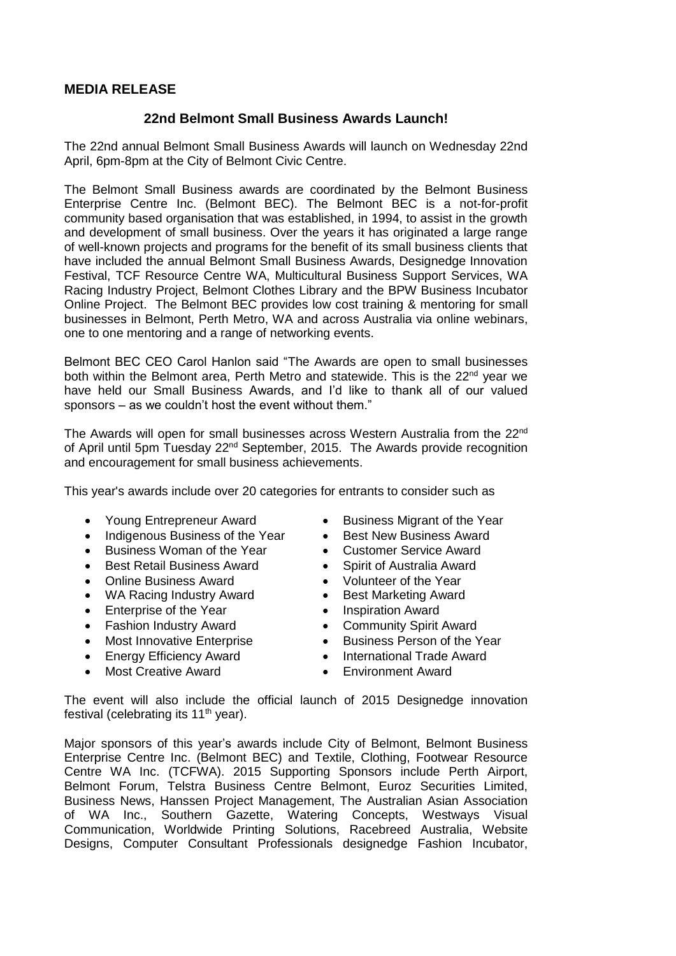## **MEDIA RELEASE**

## **22nd Belmont Small Business Awards Launch!**

The 22nd annual Belmont Small Business Awards will launch on Wednesday 22nd April, 6pm-8pm at the City of Belmont Civic Centre.

The Belmont Small Business awards are coordinated by the Belmont Business Enterprise Centre Inc. (Belmont BEC). The Belmont BEC is a not-for-profit community based organisation that was established, in 1994, to assist in the growth and development of small business. Over the years it has originated a large range of well-known projects and programs for the benefit of its small business clients that have included the annual Belmont Small Business Awards, Designedge Innovation Festival, TCF Resource Centre WA, Multicultural Business Support Services, WA Racing Industry Project, Belmont Clothes Library and the BPW Business Incubator Online Project. The Belmont BEC provides low cost training & mentoring for small businesses in Belmont, Perth Metro, WA and across Australia via online webinars, one to one mentoring and a range of networking events.

Belmont BEC CEO Carol Hanlon said "The Awards are open to small businesses both within the Belmont area, Perth Metro and statewide. This is the  $22<sup>nd</sup>$  year we have held our Small Business Awards, and I'd like to thank all of our valued sponsors – as we couldn't host the event without them."

The Awards will open for small businesses across Western Australia from the 22nd of April until 5pm Tuesday 22<sup>nd</sup> September, 2015. The Awards provide recognition and encouragement for small business achievements.

This year's awards include over 20 categories for entrants to consider such as

- Young Entrepreneur Award Business Migrant of the Year
- Indigenous Business of the Year Best New Business Award
- Business Woman of the Year Customer Service Award
- Best Retail Business Award Spirit of Australia Award
- 
- Online Business Award Volunteer of the Year<br>• WA Racing Industry Award Best Marketing Award  $\bullet$  WA Racing Industry Award  $\bullet$
- Enterprise of the Year **Inspiration Award**
- 
- 
- 
- 
- 
- 
- 
- 
- 
- 
- 
- Fashion Industry Award Community Spirit Award
- Most Innovative Enterprise **•** Business Person of the Year
- Energy Efficiency Award International Trade Award
	- Most Creative Award **Conservery Conservery Conservery** Finance Environment Award

The event will also include the official launch of 2015 Designedge innovation festival (celebrating its  $11<sup>th</sup>$  year).

Major sponsors of this year's awards include City of Belmont, Belmont Business Enterprise Centre Inc. (Belmont BEC) and Textile, Clothing, Footwear Resource Centre WA Inc. (TCFWA). 2015 Supporting Sponsors include Perth Airport, Belmont Forum, Telstra Business Centre Belmont, Euroz Securities Limited, Business News, Hanssen Project Management, The Australian Asian Association of WA Inc., Southern Gazette, Watering Concepts, Westways Visual Communication, Worldwide Printing Solutions, Racebreed Australia, Website Designs, Computer Consultant Professionals designedge Fashion Incubator,